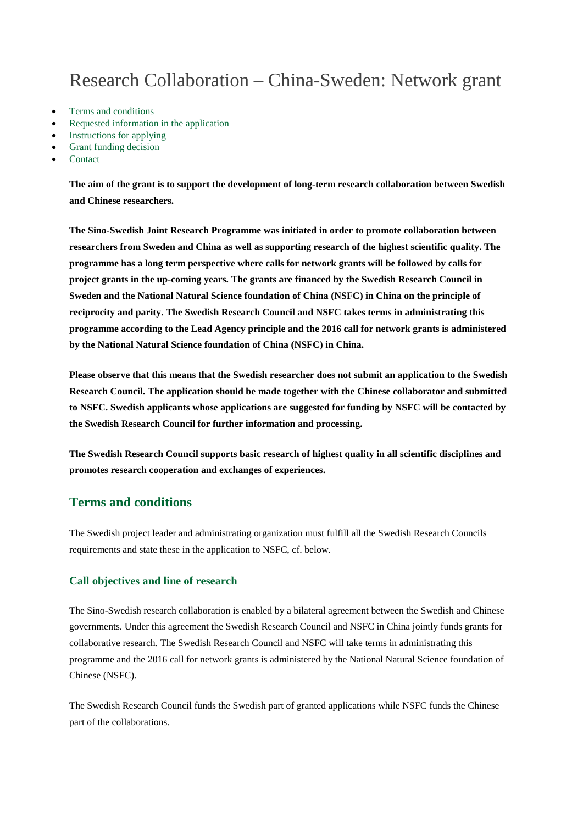# Research Collaboration – China-Sweden: Network grant

- [Terms and conditions](http://www.vr.se/inenglish/researchfunding/applyforgrants/callforproposals/closedgrants/researchcollaborationchinaswedennetworkgrant.5.7a97f1f7155a544f319120d8.html#h-Termsandconditions)
- [Requested information in the application](http://www.vr.se/inenglish/researchfunding/applyforgrants/callforproposals/closedgrants/researchcollaborationchinaswedennetworkgrant.5.7a97f1f7155a544f319120d8.html#h-Requestedinformationintheapplication)
- [Instructions for applying](http://www.vr.se/inenglish/researchfunding/applyforgrants/callforproposals/closedgrants/researchcollaborationchinaswedennetworkgrant.5.7a97f1f7155a544f319120d8.html#h-Instructionsforapplying)
- [Grant funding decision](http://www.vr.se/inenglish/researchfunding/applyforgrants/callforproposals/closedgrants/researchcollaborationchinaswedennetworkgrant.5.7a97f1f7155a544f319120d8.html#h-Grantfundingdecision)
- [Contact](http://www.vr.se/inenglish/researchfunding/applyforgrants/callforproposals/closedgrants/researchcollaborationchinaswedennetworkgrant.5.7a97f1f7155a544f319120d8.html#h-Contact)

**The aim of the grant is to support the development of long-term research collaboration between Swedish and Chinese researchers.**

**The Sino-Swedish Joint Research Programme was initiated in order to promote collaboration between researchers from Sweden and China as well as supporting research of the highest scientific quality. The programme has a long term perspective where calls for network grants will be followed by calls for project grants in the up-coming years. The grants are financed by the Swedish Research Council in Sweden and the National Natural Science foundation of China (NSFC) in China on the principle of reciprocity and parity. The Swedish Research Council and NSFC takes terms in administrating this programme according to the Lead Agency principle and the 2016 call for network grants is administered by the National Natural Science foundation of China (NSFC) in China.** 

**Please observe that this means that the Swedish researcher does not submit an application to the Swedish Research Council. The application should be made together with the Chinese collaborator and submitted to NSFC. Swedish applicants whose applications are suggested for funding by NSFC will be contacted by the Swedish Research Council for further information and processing.** 

**The Swedish Research Council supports basic research of highest quality in all scientific disciplines and promotes research cooperation and exchanges of experiences.**

# **Terms and conditions**

The Swedish project leader and administrating organization must fulfill all the Swedish Research Councils requirements and state these in the application to NSFC, cf. below.

#### **Call objectives and line of research**

The Sino-Swedish research collaboration is enabled by a bilateral agreement between the Swedish and Chinese governments. Under this agreement the Swedish Research Council and NSFC in China jointly funds grants for collaborative research. The Swedish Research Council and NSFC will take terms in administrating this programme and the 2016 call for network grants is administered by the National Natural Science foundation of Chinese (NSFC).

The Swedish Research Council funds the Swedish part of granted applications while NSFC funds the Chinese part of the collaborations.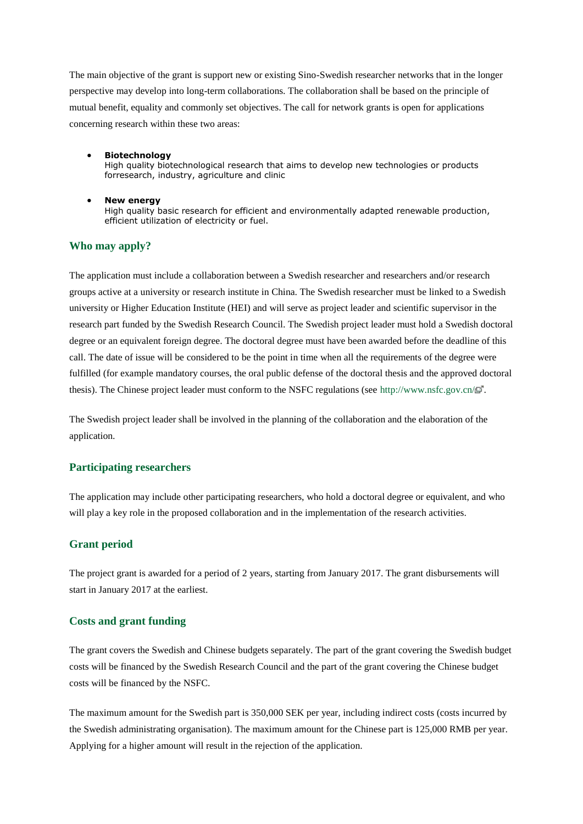The main objective of the grant is support new or existing Sino-Swedish researcher networks that in the longer perspective may develop into long-term collaborations. The collaboration shall be based on the principle of mutual benefit, equality and commonly set objectives. The call for network grants is open for applications concerning research within these two areas:

- **Biotechnology** High quality biotechnological research that aims to develop new technologies or products forresearch, industry, agriculture and clinic
- **New energy** High quality basic research for efficient and environmentally adapted renewable production, efficient utilization of electricity or fuel.

#### **Who may apply?**

The application must include a collaboration between a Swedish researcher and researchers and/or research groups active at a university or research institute in China. The Swedish researcher must be linked to a Swedish university or Higher Education Institute (HEI) and will serve as project leader and scientific supervisor in the research part funded by the Swedish Research Council. The Swedish project leader must hold a Swedish doctoral degree or an equivalent foreign degree. The doctoral degree must have been awarded before the deadline of this call. The date of issue will be considered to be the point in time when all the requirements of the degree were fulfilled (for example mandatory courses, the oral public defense of the doctoral thesis and the approved doctoral thesis). The Chinese project leader must conform to the NSFC regulations (see<http://www.nsfc.gov.cn/> $\mathbb{E}^T$ .

The Swedish project leader shall be involved in the planning of the collaboration and the elaboration of the application.

#### **Participating researchers**

The application may include other participating researchers, who hold a doctoral degree or equivalent, and who will play a key role in the proposed collaboration and in the implementation of the research activities.

#### **Grant period**

The project grant is awarded for a period of 2 years, starting from January 2017. The grant disbursements will start in January 2017 at the earliest.

#### **Costs and grant funding**

The grant covers the Swedish and Chinese budgets separately. The part of the grant covering the Swedish budget costs will be financed by the Swedish Research Council and the part of the grant covering the Chinese budget costs will be financed by the NSFC.

The maximum amount for the Swedish part is 350,000 SEK per year, including indirect costs (costs incurred by the Swedish administrating organisation). The maximum amount for the Chinese part is 125,000 RMB per year. Applying for a higher amount will result in the rejection of the application.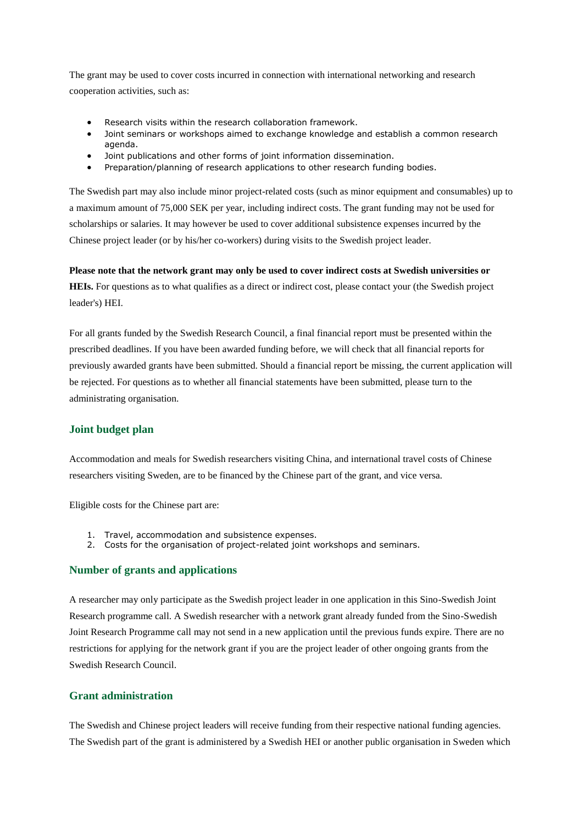The grant may be used to cover costs incurred in connection with international networking and research cooperation activities, such as:

- Research visits within the research collaboration framework.
- Joint seminars or workshops aimed to exchange knowledge and establish a common research agenda.
- Joint publications and other forms of joint information dissemination.
- Preparation/planning of research applications to other research funding bodies.

The Swedish part may also include minor project-related costs (such as minor equipment and consumables) up to a maximum amount of 75,000 SEK per year, including indirect costs. The grant funding may not be used for scholarships or salaries. It may however be used to cover additional subsistence expenses incurred by the Chinese project leader (or by his/her co-workers) during visits to the Swedish project leader.

#### **Please note that the network grant may only be used to cover indirect costs at Swedish universities or**

**HEIs.** For questions as to what qualifies as a direct or indirect cost, please contact your (the Swedish project leader's) HEI.

For all grants funded by the Swedish Research Council, a final financial report must be presented within the prescribed deadlines. If you have been awarded funding before, we will check that all financial reports for previously awarded grants have been submitted. Should a financial report be missing, the current application will be rejected. For questions as to whether all financial statements have been submitted, please turn to the administrating organisation.

#### **Joint budget plan**

Accommodation and meals for Swedish researchers visiting China, and international travel costs of Chinese researchers visiting Sweden, are to be financed by the Chinese part of the grant, and vice versa.

Eligible costs for the Chinese part are:

- 1. Travel, accommodation and subsistence expenses.
- 2. Costs for the organisation of project-related joint workshops and seminars.

## **Number of grants and applications**

A researcher may only participate as the Swedish project leader in one application in this Sino-Swedish Joint Research programme call. A Swedish researcher with a network grant already funded from the Sino-Swedish Joint Research Programme call may not send in a new application until the previous funds expire. There are no restrictions for applying for the network grant if you are the project leader of other ongoing grants from the Swedish Research Council.

#### **Grant administration**

The Swedish and Chinese project leaders will receive funding from their respective national funding agencies. The Swedish part of the grant is administered by a Swedish HEI or another public organisation in Sweden which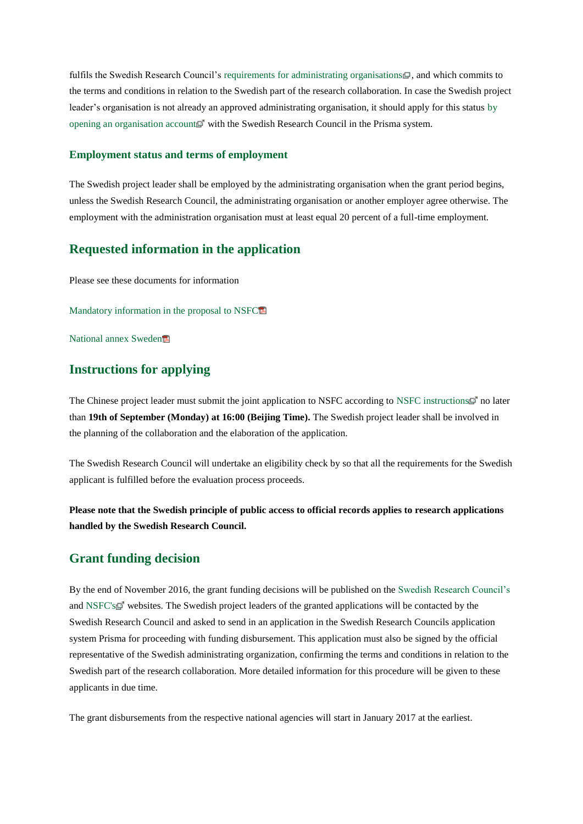fulfils the Swedish Research Council's [requirements for administrating organisations](http://www.vr.se/inenglish/researchfunding/applyforgrants/conditionsforapplicationsandgrants/approvedadministratingorganisations.4.4b1cd22413cb479b80537a9.html)  $\Box$ , and which commits to the terms and conditions in relation to the Swedish part of the research collaboration. In case the Swedish project leader's organisation is not already an approved administrating organisation, it should apply for this status [by](https://prisma.research.se/)  [opening an organisation account](https://prisma.research.se/)  $\mathbb{F}$  with the Swedish Research Council in the Prisma system.

#### **Employment status and terms of employment**

The Swedish project leader shall be employed by the administrating organisation when the grant period begins, unless the Swedish Research Council, the administrating organisation or another employer agree otherwise. The employment with the administration organisation must at least equal 20 percent of a full-time employment.

### **Requested information in the application**

Please see these documents for information

[Mandatory information in the proposal to NSFC](http://www.vr.se/download/18.7a97f1f7155a544f3192c8b1/1467370572702/Mandatory+informtion+in+the+proposal+to+NSFC.pdf)

[National annex Sweden](http://www.vr.se/download/18.7a97f1f7155a544f3192cbb1/1467370669397/National+annex+Sweden.pdf)

# **Instructions for applying**

The Chinese project leader must submit the joint application to NSFC according to [NSFC instructions](http://www.nsfc.gov.cn/publish/portal0/tab38/module491/more.htm) <sup>n</sup> no later than **19th of September (Monday) at 16:00 (Beijing Time).** The Swedish project leader shall be involved in the planning of the collaboration and the elaboration of the application.

The Swedish Research Council will undertake an eligibility check by so that all the requirements for the Swedish applicant is fulfilled before the evaluation process proceeds.

**Please note that the Swedish principle of public access to official records applies to research applications handled by the Swedish Research Council.**

# **Grant funding decision**

By the end of November 2016, the grant funding decisions will be published on the [Swedish Research Council's](http://www.vr.se/inenglish.4.12fff4451215cbd83e4800015152.html) and [NSFC's](http://www.nsfc.gov.cn/) websites. The Swedish project leaders of the granted applications will be contacted by the Swedish Research Council and asked to send in an application in the Swedish Research Councils application system Prisma for proceeding with funding disbursement. This application must also be signed by the official representative of the Swedish administrating organization, confirming the terms and conditions in relation to the Swedish part of the research collaboration. More detailed information for this procedure will be given to these applicants in due time.

The grant disbursements from the respective national agencies will start in January 2017 at the earliest.